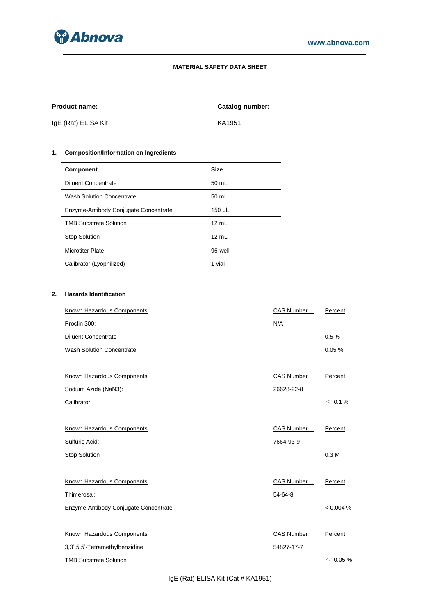

## **MATERIAL SAFETY DATA SHEET**

**Product name: Catalog number:**

IgE (Rat) ELISA Kit KA1951

# **1. Composition/Information on Ingredients**

| <b>Component</b>                      | <b>Size</b>     |
|---------------------------------------|-----------------|
| <b>Diluent Concentrate</b>            | 50 mL           |
| <b>Wash Solution Concentrate</b>      | 50 mL           |
| Enzyme-Antibody Conjugate Concentrate | 150 µL          |
| <b>TMB Substrate Solution</b>         | $12 \text{ mL}$ |
| <b>Stop Solution</b>                  | 12 mL           |
| <b>Microtiter Plate</b>               | 96-well         |
| Calibrator (Lyophilized)              | 1 vial          |

# **2. Hazards Identification**

| <b>Known Hazardous Components</b>     | <b>CAS Number</b> | Percent          |
|---------------------------------------|-------------------|------------------|
| Proclin 300:                          | N/A               |                  |
| <b>Diluent Concentrate</b>            |                   | 0.5%             |
| <b>Wash Solution Concentrate</b>      |                   | 0.05%            |
|                                       |                   |                  |
| Known Hazardous Components            | <b>CAS Number</b> | Percent          |
| Sodium Azide (NaN3):                  | 26628-22-8        |                  |
| Calibrator                            |                   | $\leq 0.1\%$     |
|                                       |                   |                  |
| Known Hazardous Components            | CAS Number        | Percent          |
| Sulfuric Acid:                        | 7664-93-9         |                  |
| <b>Stop Solution</b>                  |                   | 0.3 <sub>M</sub> |
|                                       |                   |                  |
| Known Hazardous Components            | <b>CAS Number</b> | Percent          |
| Thimerosal:                           | $54-64-8$         |                  |
| Enzyme-Antibody Conjugate Concentrate |                   | < 0.004 %        |
|                                       |                   |                  |
| Known Hazardous Components            | CAS Number        | Percent          |
| 3,3',5,5'-Tetramethylbenzidine        | 54827-17-7        |                  |
| <b>TMB Substrate Solution</b>         |                   | $\leq 0.05 \%$   |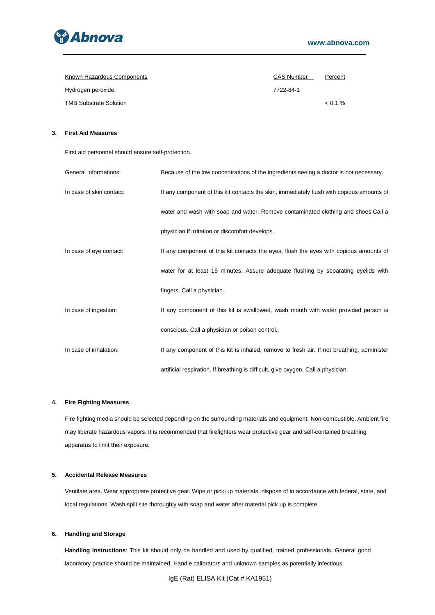

| Known Hazardous Components    | <b>CAS Number</b> | Percent    |
|-------------------------------|-------------------|------------|
| Hydrogen peroxide:            | 7722-84-1         |            |
| <b>TMB Substrate Solution</b> |                   | $< 0.1 \%$ |

## **3. First Aid Measures**

First aid personnel should ensure self-protection.

| General informations:    | Because of the low concentrations of the ingredients seeing a doctor is not necessary.     |
|--------------------------|--------------------------------------------------------------------------------------------|
| In case of skin contact: | If any component of this kit contacts the skin, immediately flush with copious amounts of  |
|                          | water and wash with soap and water. Remove contaminated clothing and shoes. Call a         |
|                          | physician if irritation or discomfort develops.                                            |
| In case of eye contact:  | If any component of this kit contacts the eyes, flush the eyes with copious amounts of     |
|                          | water for at least 15 minutes. Assure adequate flushing by separating eyelids with         |
|                          | fingers. Call a physician                                                                  |
| In case of ingestion:    | If any component of this kit is swallowed, wash mouth with water provided person is        |
|                          | conscious. Call a physician or poison control                                              |
| In case of inhalation:   | If any component of this kit is inhaled, remove to fresh air. If not breathing, administer |
|                          | artificial respiration. If breathing is difficult, give oxygen. Call a physician.          |

## **4. Fire Fighting Measures**

Fire fighting media should be selected depending on the surrounding materials and equipment. Non-combustible. Ambient fire may liberate hazardous vapors. It is recommended that firefighters wear protective gear and self-contained breathing apparatus to limit their exposure.

## **5. Accidental Release Measures**

Ventilate area. Wear appropriate protective gear. Wipe or pick-up materials, dispose of in accordance with federal, state, and local regulations. Wash spill site thoroughly with soap and water after material pick up is complete.

## **6. Handling and Storage**

**Handling instructions**: This kit should only be handled and used by qualified, trained professionals. General good laboratory practice should be maintained. Handle calibrators and unknown samples as potentially infectious.

IgE (Rat) ELISA Kit (Cat # KA1951)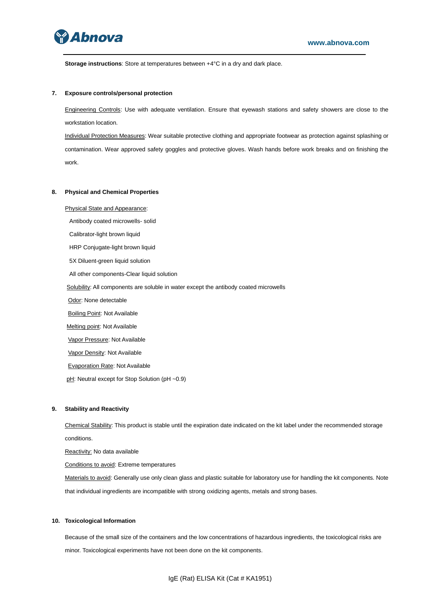

**Storage instructions**: Store at temperatures between +4°C in a dry and dark place.

### **7. Exposure controls/personal protection**

Engineering Controls: Use with adequate ventilation. Ensure that eyewash stations and safety showers are close to the workstation location.

Individual Protection Measures: Wear suitable protective clothing and appropriate footwear as protection against splashing or contamination. Wear approved safety goggles and protective gloves. Wash hands before work breaks and on finishing the work.

#### **8. Physical and Chemical Properties**

Physical State and Appearance:

Antibody coated microwells- solid

Calibrator-light brown liquid

HRP Conjugate-light brown liquid

5X Diluent-green liquid solution

All other components-Clear liquid solution

Solubility: All components are soluble in water except the antibody coated microwells

Odor: None detectable

**Boiling Point: Not Available** 

Melting point: Not Available

Vapor Pressure: Not Available

Vapor Density: Not Available

Evaporation Rate: Not Available

pH: Neutral except for Stop Solution (pH ~0.9)

#### **9. Stability and Reactivity**

Chemical Stability: This product is stable until the expiration date indicated on the kit label under the recommended storage conditions.

Reactivity: No data available

Conditions to avoid: Extreme temperatures

Materials to avoid: Generally use only clean glass and plastic suitable for laboratory use for handling the kit components. Note that individual ingredients are incompatible with strong oxidizing agents, metals and strong bases.

#### **10. Toxicological Information**

Because of the small size of the containers and the low concentrations of hazardous ingredients, the toxicological risks are minor. Toxicological experiments have not been done on the kit components.